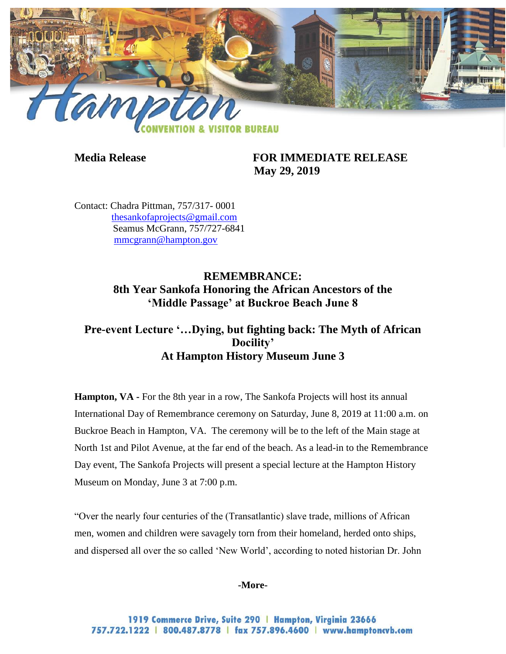

**Media Release FOR IMMEDIATE RELEASE May 29, 2019**

Contact: Chadra Pittman, 757/317- 0001 [thesankofaprojects@gmail.com](mailto:thesankofaprojects@gmail.com)  Seamus McGrann, 757/727-6841 [mmcgrann@hampton.gov](mailto:mmcgrann@hampton.gov)

> **REMEMBRANCE: 8th Year Sankofa Honoring the African Ancestors of the 'Middle Passage' at Buckroe Beach June 8**

# **Pre-event Lecture '…Dying, but fighting back: The Myth of African Docility' At Hampton History Museum June 3**

**Hampton, VA -** For the 8th year in a row, The Sankofa Projects will host its annual International Day of Remembrance ceremony on Saturday, June 8, 2019 at 11:00 a.m. on Buckroe Beach in Hampton, VA. The ceremony will be to the left of the Main stage at North 1st and Pilot Avenue, at the far end of the beach. As a lead-in to the Remembrance Day event, The Sankofa Projects will present a special lecture at the Hampton History Museum on Monday, June 3 at 7:00 p.m.

"Over the nearly four centuries of the (Transatlantic) slave trade, millions of African men, women and children were savagely torn from their homeland, herded onto ships, and dispersed all over the so called 'New World', according to noted historian Dr. John

### **-More-**

1919 Commerce Drive, Suite 290 | Hampton, Virginia 23666 757.722.1222 | 800.487.8778 | fax 757.896.4600 | www.hamptoncvb.com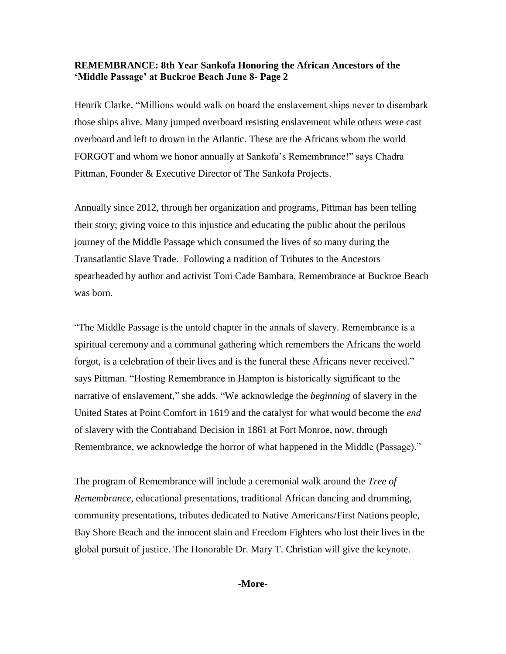Henrik Clarke. "Millions would walk on board the enslavement ships never to disembark those ships alive. Many jumped overboard resisting enslavement while others were cast overboard and left to drown in the Atlantic. These are the Africans whom the world FORGOT and whom we honor annually at Sankofa's Remembrance!" says Chadra Pittman, Founder & Executive Director of The Sankofa Projects.

Annually since 2012, through her organization and programs, Pittman has been telling their story; giving voice to this injustice and educating the public about the perilous journey of the Middle Passage which consumed the lives of so many during the Transatlantic Slave Trade. Following a tradition of Tributes to the Ancestors spearheaded by author and activist Toni Cade Bambara, Remembrance at Buckroe Beach was born.

"The Middle Passage is the untold chapter in the annals of slavery. Remembrance is a spiritual ceremony and a communal gathering which remembers the Africans the world forgot, is a celebration of their lives and is the funeral these Africans never received." says Pittman. "Hosting Remembrance in Hampton is historically significant to the narrative of enslavement," she adds. "We acknowledge the *beginning* of slavery in the United States at Point Comfort in 1619 and the catalyst for what would become the *end*  of slavery with the Contraband Decision in 1861 at Fort Monroe, now, through Remembrance, we acknowledge the horror of what happened in the Middle (Passage)."

The program of Remembrance will include a ceremonial walk around the *Tree of Remembrance,* educational presentations, traditional African dancing and drumming, community presentations, tributes dedicated to Native Americans/First Nations people, Bay Shore Beach and the innocent slain and Freedom Fighters who lost their lives in the global pursuit of justice. The Honorable Dr. Mary T. Christian will give the keynote.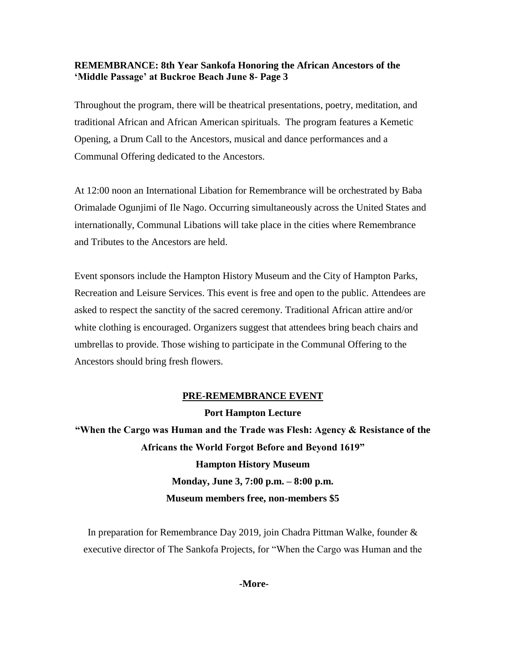Throughout the program, there will be theatrical presentations, poetry, meditation, and traditional African and African American spirituals. The program features a Kemetic Opening, a Drum Call to the Ancestors, musical and dance performances and a Communal Offering dedicated to the Ancestors.

At 12:00 noon an International Libation for Remembrance will be orchestrated by Baba Orimalade Ogunjimi of Ile Nago. Occurring simultaneously across the United States and internationally, Communal Libations will take place in the cities where Remembrance and Tributes to the Ancestors are held.

Event sponsors include the Hampton History Museum and the City of Hampton Parks, Recreation and Leisure Services. This event is free and open to the public. Attendees are asked to respect the sanctity of the sacred ceremony. Traditional African attire and/or white clothing is encouraged. Organizers suggest that attendees bring beach chairs and umbrellas to provide. Those wishing to participate in the Communal Offering to the Ancestors should bring fresh flowers.

# **PRE-REMEMBRANCE EVENT Port Hampton Lecture**

**"When the Cargo was Human and the Trade was Flesh: Agency & Resistance of the Africans the World Forgot Before and Beyond 1619" Hampton History Museum Monday, June 3, 7:00 p.m. – 8:00 p.m. Museum members free, non-members \$5**

In preparation for Remembrance Day 2019, join Chadra Pittman Walke, founder & executive director of The Sankofa Projects, for "When the Cargo was Human and the

### **-More-**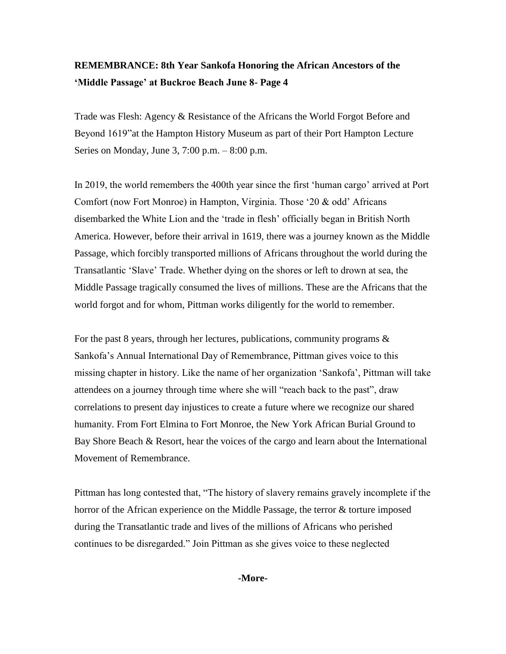Trade was Flesh: Agency & Resistance of the Africans the World Forgot Before and Beyond 1619"at the Hampton History Museum as part of their Port Hampton Lecture Series on Monday, June 3, 7:00 p.m. – 8:00 p.m.

In 2019, the world remembers the 400th year since the first 'human cargo' arrived at Port Comfort (now Fort Monroe) in Hampton, Virginia. Those '20 & odd' Africans disembarked the White Lion and the 'trade in flesh' officially began in British North America. However, before their arrival in 1619, there was a journey known as the Middle Passage, which forcibly transported millions of Africans throughout the world during the Transatlantic 'Slave' Trade. Whether dying on the shores or left to drown at sea, the Middle Passage tragically consumed the lives of millions. These are the Africans that the world forgot and for whom, Pittman works diligently for the world to remember.

For the past 8 years, through her lectures, publications, community programs & Sankofa's Annual International Day of Remembrance, Pittman gives voice to this missing chapter in history. Like the name of her organization 'Sankofa', Pittman will take attendees on a journey through time where she will "reach back to the past", draw correlations to present day injustices to create a future where we recognize our shared humanity. From Fort Elmina to Fort Monroe, the New York African Burial Ground to Bay Shore Beach & Resort, hear the voices of the cargo and learn about the International Movement of Remembrance.

Pittman has long contested that, "The history of slavery remains gravely incomplete if the horror of the African experience on the Middle Passage, the terror & torture imposed during the Transatlantic trade and lives of the millions of Africans who perished continues to be disregarded." Join Pittman as she gives voice to these neglected

**-More-**